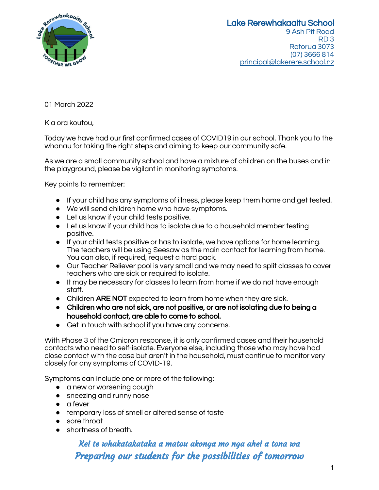

01 March 2022

Kia ora koutou,

Today we have had our first confirmed cases of COVID19 in our school. Thank you to the whanau for taking the right steps and aiming to keep our community safe.

As we are a small community school and have a mixture of children on the buses and in the playground, please be vigilant in monitoring symptoms.

Key points to remember:

- If your child has any symptoms of illness, please keep them home and get tested.
- We will send children home who have symptoms.
- Let us know if your child tests positive.
- Let us know if your child has to isolate due to a household member testing positive.
- If your child tests positive or has to isolate, we have options for home learning. The teachers will be using Seesaw as the main contact for learning from home. You can also, if required, request a hard pack.
- Our Teacher Reliever pool is very small and we may need to split classes to cover teachers who are sick or required to isolate.
- It may be necessary for classes to learn from home if we do not have enough staff.
- Children ARE NOT expected to learn from home when they are sick.
- **●** Children who are not sick, are not positive, or are not isolating due to being a household contact, are able to come to school.
- Get in touch with school if you have any concerns.

With Phase 3 of the Omicron response, it is only confirmed cases and their household contacts who need to self-isolate. Everyone else, including those who may have had close contact with the case but aren't in the household, must continue to monitor very closely for any symptoms of COVID-19.

Symptoms can include one or more of the following:

- a new or worsening cough
- sneezing and runny nose
- a fever
- temporary loss of smell or altered sense of taste
- sore throat
- shortness of breath.

## Kei te whakatakataka a matou akonga mo nga ahei a tona wa Preparing our students for the possibilities of tomorrow